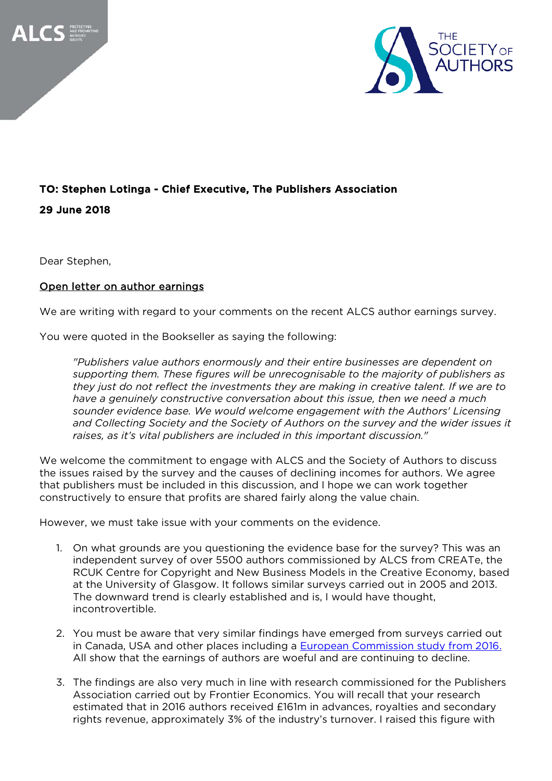



## TO: Stephen Lotinga - Chief Executive, The Publishers Association

29 June 2018

Dear Stephen,

## Open letter on author earnings

We are writing with regard to your comments on the recent ALCS author earnings survey.

You were quoted in the Bookseller as saying the following:

*"Publishers value authors enormously and their entire businesses are dependent on supporting them. These figures will be unrecognisable to the majority of publishers as they just do not reflect the investments they are making in creative talent. If we are to have a genuinely constructive conversation about this issue, then we need a much sounder evidence base. We would welcome engagement with the Authors' Licensing and Collecting Society and the Society of Authors on the survey and the wider issues it raises, as it's vital publishers are included in this important discussion."*

We welcome the commitment to engage with ALCS and the Society of Authors to discuss the issues raised by the survey and the causes of declining incomes for authors. We agree that publishers must be included in this discussion, and I hope we can work together constructively to ensure that profits are shared fairly along the value chain.

However, we must take issue with your comments on the evidence.

- 1. On what grounds are you questioning the evidence base for the survey? This was an independent survey of over 5500 authors commissioned by ALCS from CREATe, the RCUK Centre for Copyright and New Business Models in the Creative Economy, based at the University of Glasgow. It follows similar surveys carried out in 2005 and 2013. The downward trend is clearly established and is, I would have thought, incontrovertible.
- 2. You must be aware that very similar findings have emerged from surveys carried out in Canada, USA and other places including a [European Commission study from 2016.](https://www.thebookseller.com/news/average-author-earnings-12500-reveals-ec-study-414566) All show that the earnings of authors are woeful and are continuing to decline.
- 3. The findings are also very much in line with research commissioned for the Publishers Association carried out by Frontier Economics. You will recall that your research estimated that in 2016 authors received £161m in advances, royalties and secondary rights revenue, approximately 3% of the industry's turnover. I raised this figure with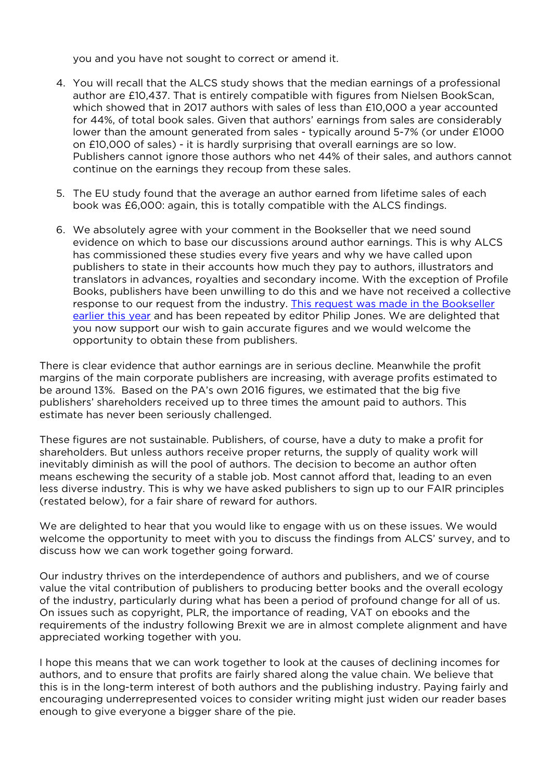you and you have not sought to correct or amend it.

- 4. You will recall that the ALCS study shows that the median earnings of a professional author are £10,437. That is entirely compatible with figures from Nielsen BookScan, which showed that in 2017 authors with sales of less than £10,000 a year accounted for 44%, of total book sales. Given that authors' earnings from sales are considerably lower than the amount generated from sales - typically around 5-7% (or under £1000 on £10,000 of sales) - it is hardly surprising that overall earnings are so low. Publishers cannot ignore those authors who net 44% of their sales, and authors cannot continue on the earnings they recoup from these sales.
- 5. The EU study found that the average an author earned from lifetime sales of each book was £6,000: again, this is totally compatible with the ALCS findings.
- 6. We absolutely agree with your comment in the Bookseller that we need sound evidence on which to base our discussions around author earnings. This is why ALCS has commissioned these studies every five years and why we have called upon publishers to state in their accounts how much they pay to authors, illustrators and translators in advances, royalties and secondary income. With the exception of Profile Books, publishers have been unwilling to do this and we have not received a collective response to our request from the industry. [This request was made in the Bookseller](https://www.thebookseller.com/blogs/profits-publishing-authors-perspective-743226)  [earlier this year](https://www.thebookseller.com/blogs/profits-publishing-authors-perspective-743226) and has been repeated by editor Philip Jones. We are delighted that you now support our wish to gain accurate figures and we would welcome the opportunity to obtain these from publishers.

There is clear evidence that author earnings are in serious decline. Meanwhile the profit margins of the main corporate publishers are increasing, with average profits estimated to be around 13%. Based on the PA's own 2016 figures, we estimated that the big five publishers' shareholders received up to three times the amount paid to authors. This estimate has never been seriously challenged.

These figures are not sustainable. Publishers, of course, have a duty to make a profit for shareholders. But unless authors receive proper returns, the supply of quality work will inevitably diminish as will the pool of authors. The decision to become an author often means eschewing the security of a stable job. Most cannot afford that, leading to an even less diverse industry. This is why we have asked publishers to sign up to our FAIR principles (restated below), for a fair share of reward for authors.

We are delighted to hear that you would like to engage with us on these issues. We would welcome the opportunity to meet with you to discuss the findings from ALCS' survey, and to discuss how we can work together going forward.

Our industry thrives on the interdependence of authors and publishers, and we of course value the vital contribution of publishers to producing better books and the overall ecology of the industry, particularly during what has been a period of profound change for all of us. On issues such as copyright, PLR, the importance of reading, VAT on ebooks and the requirements of the industry following Brexit we are in almost complete alignment and have appreciated working together with you.

I hope this means that we can work together to look at the causes of declining incomes for authors, and to ensure that profits are fairly shared along the value chain. We believe that this is in the long-term interest of both authors and the publishing industry. Paying fairly and encouraging underrepresented voices to consider writing might just widen our reader bases enough to give everyone a bigger share of the pie.